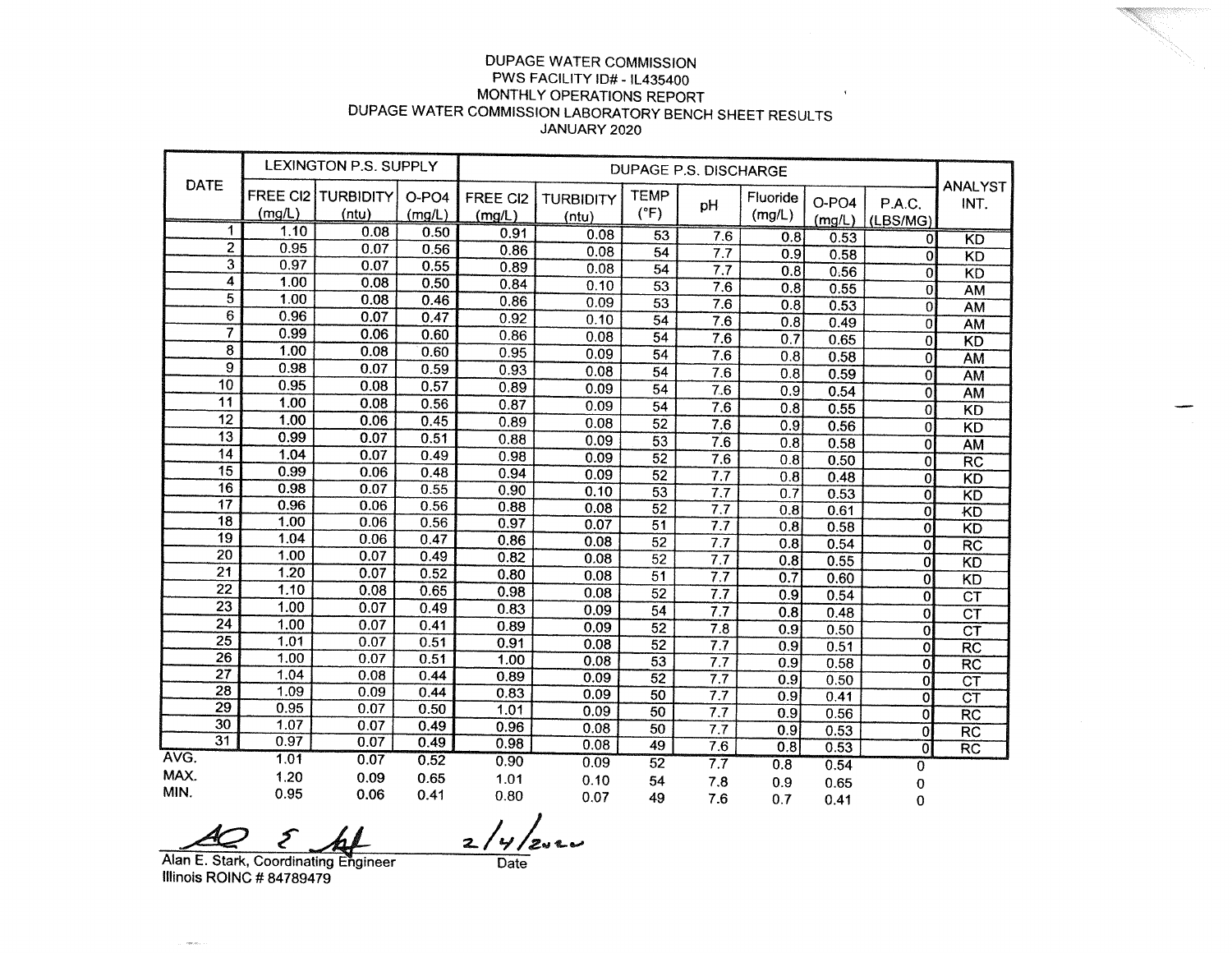## DUPAGE WATER COMMISSION PWS FACILITY ID# - IL435400 MONTHLY OPERATIONS REPORT DUPAGE WATER COMMISSION LABORATORY BENCH SHEET RESULTS JANUARY 2020

 $\mathbf{r}$ 

| DATE                    | LEXINGTON P.S. SUPPLY |                                 |                 |                    |                           |                              |                  |                    |                   |                           |                        |
|-------------------------|-----------------------|---------------------------------|-----------------|--------------------|---------------------------|------------------------------|------------------|--------------------|-------------------|---------------------------|------------------------|
|                         | (mg/L)                | FREE CI2   TURBIDITY  <br>(ntu) | O-PO4<br>(mg/L) | FREE CI2<br>(mg/L) | <b>TURBIDITY</b><br>(ntu) | <b>TEMP</b><br>$(^{\circ}F)$ | pH               | Fluoride<br>(mg/L) | $O-PO4$<br>(mg/L) | P.A.C.<br>(LBS/MG)        | <b>ANALYST</b><br>INT. |
| 1                       | 1.10                  | 0.08                            | 0.50            | 0.91               | 0.08                      | $\overline{53}$              | 7.6              | 0.8                | 0.53              | $\overline{0}$            | <b>KD</b>              |
| 2                       | 0.95                  | 0.07                            | 0.56            | 0.86               | 0.08                      | 54                           | 7.7              | 0.9                | 0.58              | $\Omega$                  | <b>KD</b>              |
| 3                       | 0.97                  | 0.07                            | 0.55            | 0.89               | 0.08                      | $\overline{54}$              | 7.7              | 0.8                | 0.56              | $\mathbf{0}$              | KD                     |
| 4                       | 1.00                  | 0.08                            | 0.50            | 0.84               | 0.10                      | 53                           | 7.6              | 0.8                | 0.55              | 0l                        | AM                     |
| 5                       | 1.00                  | 0.08                            | 0.46            | 0.86               | 0.09                      | 53                           | 7.6              | 0.8                | 0.53              | 0                         | <b>AM</b>              |
| 6                       | 0.96                  | 0.07                            | 0.47            | 0.92               | 0.10                      | 54                           | 7.6              | 0.8                | 0.49              | Oİ                        | AM                     |
| $\overline{7}$          | 0.99                  | 0.06                            | 0.60            | 0.86               | 0.08                      | 54                           | 7.6              | 0.7                | 0.65              | $\overline{0}$            | $\overline{KD}$        |
| $\overline{\mathbf{8}}$ | 1.00                  | 0.08                            | 0.60            | 0.95               | 0.09                      | 54                           | 7.6              | 0.8                | 0.58              | $\overline{0}$            | <b>AM</b>              |
| $\overline{9}$          | 0.98                  | 0.07                            | 0.59            | 0.93               | 0.08                      | 54                           | 7.6              | 0.8                | 0.59              | $\overline{0}$            | <b>AM</b>              |
| $\overline{10}$         | 0.95                  | 0.08                            | 0.57            | 0.89               | 0.09                      | 54                           | 7.6              | 0.9                | 0.54              | $\mathbf{0}$              | <b>AM</b>              |
| $\overline{11}$         | 1.00                  | 0.08                            | 0.56            | 0.87               | 0.09                      | 54                           | 7.6              | 0.8                | 0.55              | $\mathbf{0}$              | KD                     |
| $\overline{12}$         | 1.00                  | 0.06                            | 0.45            | 0.89               | 0.08                      | 52                           | $\overline{7.6}$ | 0.9                | 0.56              | $\overline{0}$            | $\overline{KD}$        |
| $\overline{13}$         | 0.99                  | 0.07                            | 0.51            | 0.88               | 0.09                      | 53                           | $\overline{7.6}$ | 0.8                | 0.58              | $\overline{0}$            | $\overline{AM}$        |
| $\overline{14}$         | 1.04                  | 0.07                            | 0.49            | 0.98               | 0.09                      | 52                           | 7.6              | 0.8                | 0.50              | $\overline{0}$            | $\overline{\text{RC}}$ |
| $\overline{15}$         | 0.99                  | 0.06                            | 0.48            | 0.94               | 0.09                      | 52                           | 7.7              | 0.8                | 0.48              | $\overline{0}$            | $\overline{KD}$        |
| 16                      | 0.98                  | 0.07                            | 0.55            | 0.90               | 0.10                      | 53                           | 7.7              | 0.7                | 0.53              | $\overline{\mathfrak{o}}$ | KD                     |
| $\overline{17}$         | 0.96                  | 0.06                            | 0.56            | 0.88               | 0.08                      | 52                           | 7.7              | 0.8                | 0.61              | $\overline{0}$            | KD                     |
| $\overline{18}$         | 1.00                  | 0.06                            | 0.56            | 0.97               | 0.07                      | 51                           | 7.7              | 0.8                | 0.58              | $\overline{0}$            | $\overline{KD}$        |
| 19                      | 1.04                  | 0.06                            | 0.47            | 0.86               | 0.08                      | 52                           | 7.7              | 0.8                | 0.54              | 0                         | $\overline{RC}$        |
| 20                      | 1.00                  | 0.07                            | 0.49            | 0.82               | 0.08                      | $\overline{52}$              | $\overline{7.7}$ | 0.8                | 0.55              | 0                         | KD                     |
| $\overline{21}$         | 1.20                  | 0.07                            | 0.52            | 0.80               | 0.08                      | $\overline{51}$              | $\overline{7.7}$ | 0.7                | 0.60              | 0                         | $\overline{KD}$        |
| 22                      | 1.10                  | 0.08                            | 0.65            | 0.98               | 0.08                      | 52                           | $\overline{7.7}$ | 0.9                | 0.54              | $\mathbf 0$               | $\overline{\text{CT}}$ |
| 23                      | 1.00                  | 0.07                            | 0.49            | 0.83               | 0.09                      | 54                           | $\overline{7.7}$ | 0.8                | 0.48              | $\overline{0}$            | $\overline{\text{CT}}$ |
| 24                      | 1.00                  | 0.07                            | 0.41            | 0.89               | 0.09                      | $\overline{52}$              | 7.8              | 0.9                | 0.50              | 0                         | $\overline{\text{CT}}$ |
| 25                      | 1.01                  | 0.07                            | 0.51            | 0.91               | 0.08                      | 52                           | 7.7              | 0.9                | 0.51              | $\overline{0}$            | RC                     |
| 26                      | 1.00                  | 0.07                            | 0.51            | 1.00               | 0.08                      | 53                           | 7.7              | 0.9                | 0.58              | $\boldsymbol{0}$          | RC                     |
| $\overline{27}$         | 1.04                  | 0.08                            | 0.44            | 0.89               | 0.09                      | 52                           | $\overline{7.7}$ | 0.9                | 0.50              | $\mathbf{0}$              | CT                     |
| 28                      | 1.09                  | 0.09                            | 0.44            | 0.83               | 0.09                      | 50                           | $\overline{7.7}$ | 0.9                | 0.41              | $\overline{0}$            | $\overline{\text{CT}}$ |
| 29                      | 0.95                  | 0.07                            | 0.50            | 1.01               | 0.09                      | 50                           | 7.7              | 0.9                | 0.56              | 0                         | $\overline{RC}$        |
| 30<br>$\overline{31}$   | 1.07                  | 0.07                            | 0.49            | 0.96               | 0.08                      | 50                           | 7.7              | 0.9                | 0.53              | $\mathbf{0}$              | $\overline{\text{RC}}$ |
| AVG.                    | 0.97                  | 0.07                            | 0.49            | 0.98               | 0.08                      | 49                           | 7.6              | 0.8                | 0.53              | 0                         | $\overline{RC}$        |
|                         | 1.01                  | 0.07                            | 0.52            | 0.90               | 0.09                      | 52                           | $\overline{7.7}$ | 0.8                | 0.54              | 0                         |                        |
| MAX.                    | 1.20                  | 0.09                            | 0.65            | 1.01               | 0.10                      | 54                           | 7.8              | 0.9                | 0.65              | $\mathbf 0$               |                        |
| MIN.                    | 0.95                  | 0.06                            | 0.41            | 0.80               | 0.07                      | 49                           | 7.6              | 0.7                | 0.41              | 0                         |                        |

MIN. 0.95 0.06 0.41 0.80<br>Alan E. Stark, Coordinating Engineer Date

Illinois ROINC # 84789479

 $\sim$